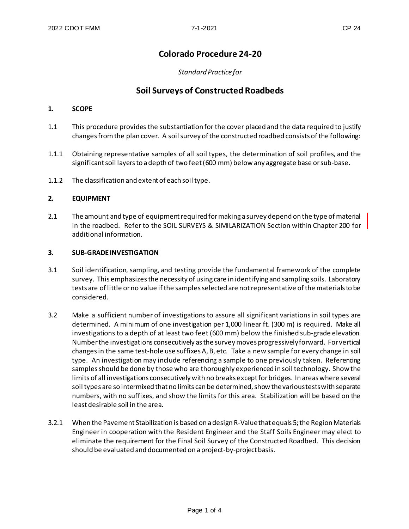# **Colorado Procedure 24-20**

### *Standard Practice for*

# **Soil Surveys of Constructed Roadbeds**

#### **1. SCOPE**

- 1.1 This procedure provides the substantiation for the cover placed and the data required to justify changes from the plan cover. A soil survey of the constructed roadbed consists of the following:
- 1.1.1 Obtaining representative samples of all soil types, the determination of soil profiles, and the significant soil layers to a depth of two feet (600 mm) below any aggregate base or sub-base.
- 1.1.2 The classification and extent of each soil type.

#### **2. EQUIPMENT**

2.1 The amount and type of equipment required for making a survey depend on the type of material in the roadbed. Refer to the SOIL SURVEYS & SIMILARIZATION Section within Chapter 200 for additional information.

#### **3. SUB-GRADE INVESTIGATION**

- 3.1 Soil identification, sampling, and testing provide the fundamental framework of the complete survey. This emphasizes the necessity of using care in identifying and sampling soils. Laboratory tests are of little or no value if the samples selected are not representative of the materials to be considered.
- 3.2 Make a sufficient number of investigations to assure all significant variations in soil types are determined. A minimum of one investigation per 1,000 linear ft. (300 m) is required. Make all investigations to a depth of at least two feet (600 mm) below the finished sub-grade elevation. Number the investigations consecutively as the survey moves progressively forward. For vertical changes in the same test-hole use suffixes A, B, etc. Take a new sample for every change in soil type. An investigation may include referencing a sample to one previously taken. Referencing samples should be done by those who are thoroughly experienced in soil technology. Show the limits of all investigations consecutively with no breaks except for bridges. In areas where several soil types are so intermixed that no limits can be determined, show the various tests with separate numbers, with no suffixes, and show the limits for this area. Stabilization will be based on the least desirable soil in the area.
- 3.2.1 When the Pavement Stabilization is based on a design R-Value that equals 5; the Region Materials Engineer in cooperation with the Resident Engineer and the Staff Soils Engineer may elect to eliminate the requirement for the Final Soil Survey of the Constructed Roadbed. This decision should be evaluated and documented on a project-by-project basis.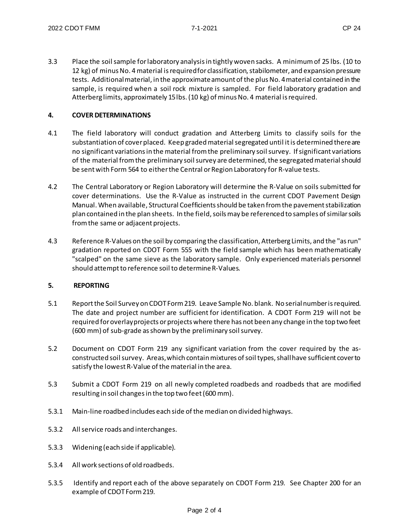3.3 Place the soil sample for laboratory analysis in tightly woven sacks. A minimum of 25 lbs. (10 to 12 kg) of minus No. 4 material is required for classification, stabilometer, and expansion pressure tests. Additional material, in the approximate amount of the plus No. 4 material contained in the sample, is required when a soil rock mixture is sampled. For field laboratory gradation and Atterberg limits, approximately 15 lbs. (10 kg) of minus No. 4 material is required.

# **4. COVER DETERMINATIONS**

- 4.1 The field laboratory will conduct gradation and Atterberg Limits to classify soils for the substantiation of cover placed. Keep graded material segregated until it is determined there are no significant variations in the material from the preliminary soil survey. If significant variations of the material from the preliminary soil survey are determined, the segregated material should be sent with Form 564 to either the Central or Region Laboratory for R-value tests.
- 4.2 The Central Laboratory or Region Laboratory will determine the R-Value on soils submitted for cover determinations. Use the R-Value as instructed in the current CDOT Pavement Design Manual. When available, Structural Coefficients should be taken from the pavement stabilization plan contained in the plan sheets. In the field, soils may be referenced to samples of similar soils from the same or adjacent projects.
- 4.3 Reference R-Values on the soil by comparing the classification, Atterberg Limits, and the "as run" gradation reported on CDOT Form 555 with the field sample which has been mathematically "scalped" on the same sieve as the laboratory sample. Only experienced materials personnel should attempt to reference soil to determine R-Values.

# **5. REPORTING**

- 5.1 Report the Soil Survey on CDOT Form 219. Leave Sample No. blank. No serial number is required. The date and project number are sufficient for identification. A CDOT Form 219 will not be required for overlay projects or projects where there has not been any change in the top two feet (600 mm) of sub-grade as shown by the preliminary soil survey.
- 5.2 Document on CDOT Form 219 any significant variation from the cover required by the asconstructed soil survey. Areas, which contain mixtures of soil types, shall have sufficient cover to satisfy the lowest R-Value of the material in the area.
- 5.3 Submit a CDOT Form 219 on all newly completed roadbeds and roadbeds that are modified resulting in soil changes in the top two feet (600 mm).
- 5.3.1 Main-line roadbed includes each side of the median on divided highways.
- 5.3.2 All service roads and interchanges.
- 5.3.3 Widening (each side if applicable).
- 5.3.4 All work sections of old roadbeds.
- 5.3.5 Identify and report each of the above separately on CDOT Form 219. See Chapter 200 for an example of CDOT Form 219.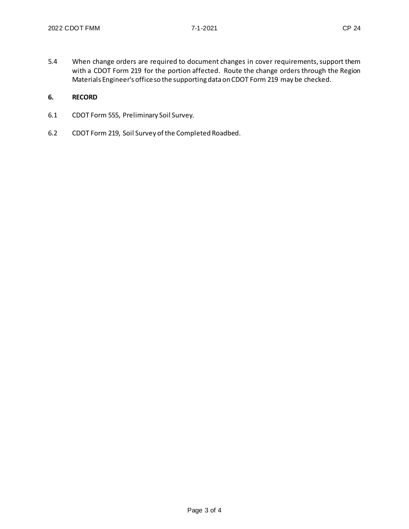5.4 When change orders are required to document changes in cover requirements, support them with a CDOT Form 219 for the portion affected. Route the change orders through the Region Materials Engineer's office so the supporting data on CDOT Form 219 may be checked.

# **6. RECORD**

- 6.1 CDOT Form 555, Preliminary Soil Survey.
- 6.2 CDOT Form 219, Soil Survey of the Completed Roadbed.